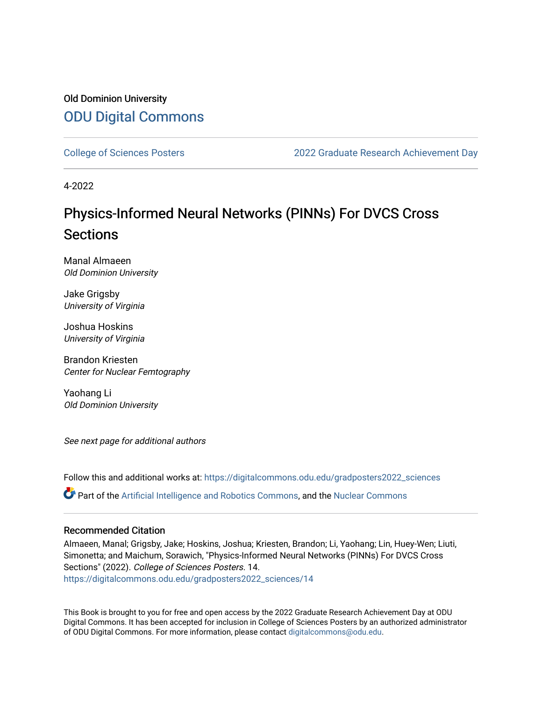#### Old Dominion University [ODU Digital Commons](https://digitalcommons.odu.edu/)

[College of Sciences Posters](https://digitalcommons.odu.edu/gradposters2022_sciences) [2022 Graduate Research Achievement Day](https://digitalcommons.odu.edu/graduateschool_achievementday2022) 

4-2022

#### Physics-Informed Neural Networks (PINNs) For DVCS Cross Sections

Manal Almaeen Old Dominion University

Jake Grigsby University of Virginia

Joshua Hoskins University of Virginia

Brandon Kriesten Center for Nuclear Femtography

Yaohang Li Old Dominion University

See next page for additional authors

Follow this and additional works at: [https://digitalcommons.odu.edu/gradposters2022\\_sciences](https://digitalcommons.odu.edu/gradposters2022_sciences?utm_source=digitalcommons.odu.edu%2Fgradposters2022_sciences%2F14&utm_medium=PDF&utm_campaign=PDFCoverPages) 

Part of the [Artificial Intelligence and Robotics Commons](http://network.bepress.com/hgg/discipline/143?utm_source=digitalcommons.odu.edu%2Fgradposters2022_sciences%2F14&utm_medium=PDF&utm_campaign=PDFCoverPages), and the [Nuclear Commons](http://network.bepress.com/hgg/discipline/203?utm_source=digitalcommons.odu.edu%2Fgradposters2022_sciences%2F14&utm_medium=PDF&utm_campaign=PDFCoverPages)

#### Recommended Citation

Almaeen, Manal; Grigsby, Jake; Hoskins, Joshua; Kriesten, Brandon; Li, Yaohang; Lin, Huey-Wen; Liuti, Simonetta; and Maichum, Sorawich, "Physics-Informed Neural Networks (PINNs) For DVCS Cross Sections" (2022). College of Sciences Posters. 14. [https://digitalcommons.odu.edu/gradposters2022\\_sciences/14](https://digitalcommons.odu.edu/gradposters2022_sciences/14?utm_source=digitalcommons.odu.edu%2Fgradposters2022_sciences%2F14&utm_medium=PDF&utm_campaign=PDFCoverPages)

This Book is brought to you for free and open access by the 2022 Graduate Research Achievement Day at ODU Digital Commons. It has been accepted for inclusion in College of Sciences Posters by an authorized administrator of ODU Digital Commons. For more information, please contact [digitalcommons@odu.edu](mailto:digitalcommons@odu.edu).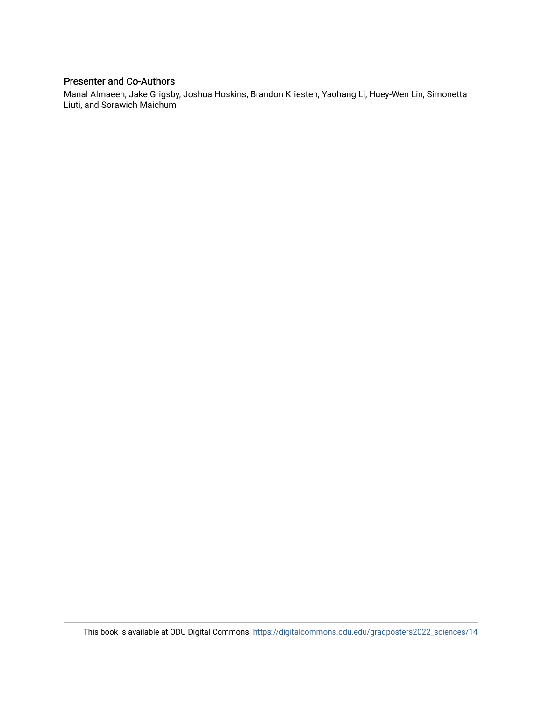#### Presenter and Co-Authors

Manal Almaeen, Jake Grigsby, Joshua Hoskins, Brandon Kriesten, Yaohang Li, Huey-Wen Lin, Simonetta Liuti, and Sorawich Maichum